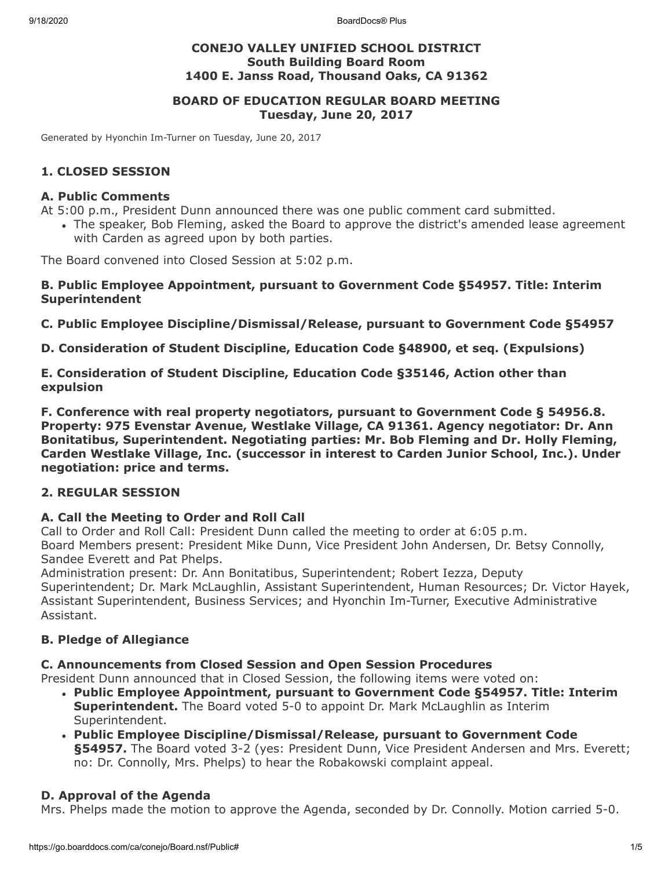9/18/2020 BoardDocs® Plus

## **CONEJO VALLEY UNIFIED SCHOOL DISTRICT South Building Board Room 1400 E. Janss Road, Thousand Oaks, CA 91362**

## **BOARD OF EDUCATION REGULAR BOARD MEETING Tuesday, June 20, 2017**

Generated by Hyonchin Im-Turner on Tuesday, June 20, 2017

## **1. CLOSED SESSION**

#### **A. Public Comments**

At 5:00 p.m., President Dunn announced there was one public comment card submitted.

The speaker, Bob Fleming, asked the Board to approve the district's amended lease agreement with Carden as agreed upon by both parties.

The Board convened into Closed Session at 5:02 p.m.

#### **B. Public Employee Appointment, pursuant to Government Code §54957. Title: Interim Superintendent**

**C. Public Employee Discipline/Dismissal/Release, pursuant to Government Code §54957**

**D. Consideration of Student Discipline, Education Code §48900, et seq. (Expulsions)**

**E. Consideration of Student Discipline, Education Code §35146, Action other than expulsion**

**F. Conference with real property negotiators, pursuant to Government Code § 54956.8. Property: 975 Evenstar Avenue, Westlake Village, CA 91361. Agency negotiator: Dr. Ann Bonitatibus, Superintendent. Negotiating parties: Mr. Bob Fleming and Dr. Holly Fleming, Carden Westlake Village, Inc. (successor in interest to Carden Junior School, Inc.). Under negotiation: price and terms.**

## **2. REGULAR SESSION**

## **A. Call the Meeting to Order and Roll Call**

Call to Order and Roll Call: President Dunn called the meeting to order at 6:05 p.m. Board Members present: President Mike Dunn, Vice President John Andersen, Dr. Betsy Connolly, Sandee Everett and Pat Phelps.

Administration present: Dr. Ann Bonitatibus, Superintendent; Robert Iezza, Deputy Superintendent; Dr. Mark McLaughlin, Assistant Superintendent, Human Resources; Dr. Victor Hayek, Assistant Superintendent, Business Services; and Hyonchin Im-Turner, Executive Administrative Assistant.

## **B. Pledge of Allegiance**

#### **C. Announcements from Closed Session and Open Session Procedures**

President Dunn announced that in Closed Session, the following items were voted on:

- **Public Employee Appointment, pursuant to Government Code §54957. Title: Interim Superintendent.** The Board voted 5-0 to appoint Dr. Mark McLaughlin as Interim Superintendent.
- **Public Employee Discipline/Dismissal/Release, pursuant to Government Code §54957.** The Board voted 3-2 (yes: President Dunn, Vice President Andersen and Mrs. Everett; no: Dr. Connolly, Mrs. Phelps) to hear the Robakowski complaint appeal.

## **D. Approval of the Agenda**

Mrs. Phelps made the motion to approve the Agenda, seconded by Dr. Connolly. Motion carried 5-0.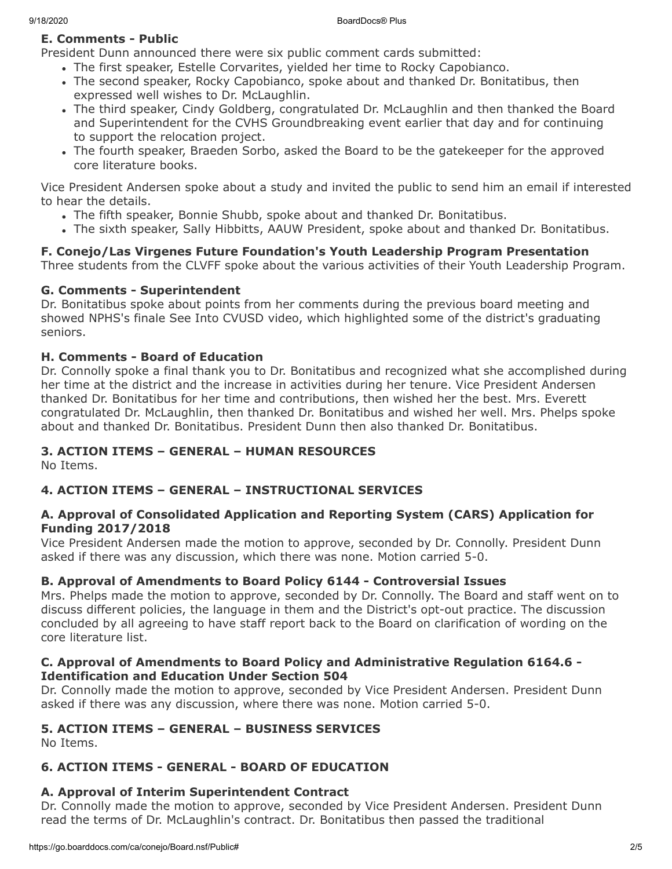# **E. Comments - Public**

President Dunn announced there were six public comment cards submitted:

- The first speaker, Estelle Corvarites, yielded her time to Rocky Capobianco.
- The second speaker, Rocky Capobianco, spoke about and thanked Dr. Bonitatibus, then expressed well wishes to Dr. McLaughlin.
- The third speaker, Cindy Goldberg, congratulated Dr. McLaughlin and then thanked the Board and Superintendent for the CVHS Groundbreaking event earlier that day and for continuing to support the relocation project.
- The fourth speaker, Braeden Sorbo, asked the Board to be the gatekeeper for the approved core literature books.

Vice President Andersen spoke about a study and invited the public to send him an email if interested to hear the details.

- The fifth speaker, Bonnie Shubb, spoke about and thanked Dr. Bonitatibus.
- The sixth speaker, Sally Hibbitts, AAUW President, spoke about and thanked Dr. Bonitatibus.

# **F. Conejo/Las Virgenes Future Foundation's Youth Leadership Program Presentation**

Three students from the CLVFF spoke about the various activities of their Youth Leadership Program.

## **G. Comments - Superintendent**

Dr. Bonitatibus spoke about points from her comments during the previous board meeting and showed NPHS's finale See Into CVUSD video, which highlighted some of the district's graduating seniors.

## **H. Comments - Board of Education**

Dr. Connolly spoke a final thank you to Dr. Bonitatibus and recognized what she accomplished during her time at the district and the increase in activities during her tenure. Vice President Andersen thanked Dr. Bonitatibus for her time and contributions, then wished her the best. Mrs. Everett congratulated Dr. McLaughlin, then thanked Dr. Bonitatibus and wished her well. Mrs. Phelps spoke about and thanked Dr. Bonitatibus. President Dunn then also thanked Dr. Bonitatibus.

# **3. ACTION ITEMS – GENERAL – HUMAN RESOURCES**

No Items.

# **4. ACTION ITEMS – GENERAL – INSTRUCTIONAL SERVICES**

## **A. Approval of Consolidated Application and Reporting System (CARS) Application for Funding 2017/2018**

Vice President Andersen made the motion to approve, seconded by Dr. Connolly. President Dunn asked if there was any discussion, which there was none. Motion carried 5-0.

## **B. Approval of Amendments to Board Policy 6144 - Controversial Issues**

Mrs. Phelps made the motion to approve, seconded by Dr. Connolly. The Board and staff went on to discuss different policies, the language in them and the District's opt-out practice. The discussion concluded by all agreeing to have staff report back to the Board on clarification of wording on the core literature list.

## **C. Approval of Amendments to Board Policy and Administrative Regulation 6164.6 - Identification and Education Under Section 504**

Dr. Connolly made the motion to approve, seconded by Vice President Andersen. President Dunn asked if there was any discussion, where there was none. Motion carried 5-0.

## **5. ACTION ITEMS – GENERAL – BUSINESS SERVICES**

No Items.

## **6. ACTION ITEMS - GENERAL - BOARD OF EDUCATION**

# **A. Approval of Interim Superintendent Contract**

Dr. Connolly made the motion to approve, seconded by Vice President Andersen. President Dunn read the terms of Dr. McLaughlin's contract. Dr. Bonitatibus then passed the traditional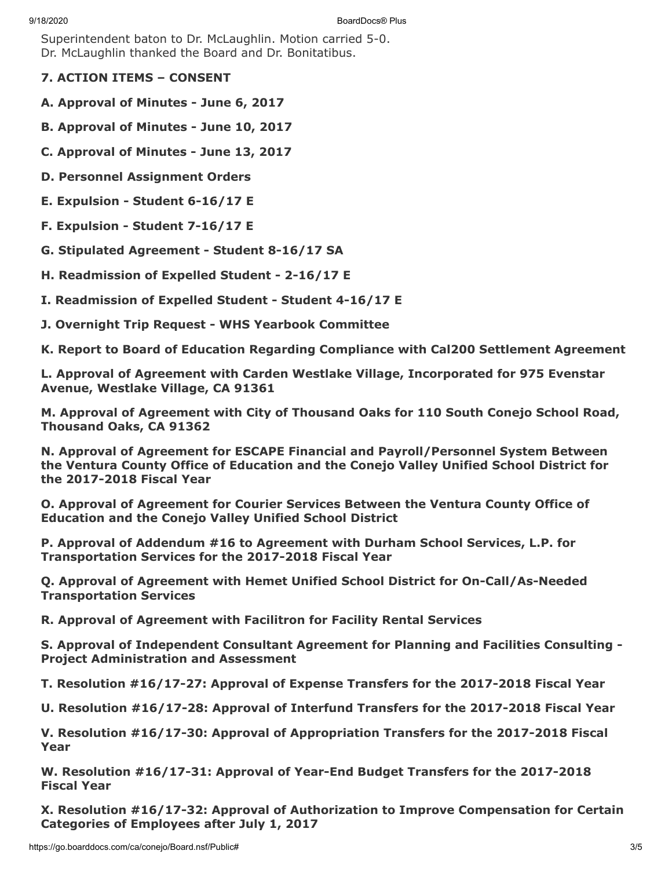Superintendent baton to Dr. McLaughlin. Motion carried 5-0. Dr. McLaughlin thanked the Board and Dr. Bonitatibus.

- **7. ACTION ITEMS CONSENT**
- **A. Approval of Minutes June 6, 2017**
- **B. Approval of Minutes June 10, 2017**
- **C. Approval of Minutes June 13, 2017**
- **D. Personnel Assignment Orders**
- **E. Expulsion Student 6-16/17 E**
- **F. Expulsion Student 7-16/17 E**
- **G. Stipulated Agreement Student 8-16/17 SA**
- **H. Readmission of Expelled Student 2-16/17 E**
- **I. Readmission of Expelled Student Student 4-16/17 E**
- **J. Overnight Trip Request WHS Yearbook Committee**

**K. Report to Board of Education Regarding Compliance with Cal200 Settlement Agreement**

**L. Approval of Agreement with Carden Westlake Village, Incorporated for 975 Evenstar Avenue, Westlake Village, CA 91361**

**M. Approval of Agreement with City of Thousand Oaks for 110 South Conejo School Road, Thousand Oaks, CA 91362**

**N. Approval of Agreement for ESCAPE Financial and Payroll/Personnel System Between the Ventura County Office of Education and the Conejo Valley Unified School District for the 2017-2018 Fiscal Year**

**O. Approval of Agreement for Courier Services Between the Ventura County Office of Education and the Conejo Valley Unified School District**

**P. Approval of Addendum #16 to Agreement with Durham School Services, L.P. for Transportation Services for the 2017-2018 Fiscal Year**

**Q. Approval of Agreement with Hemet Unified School District for On-Call/As-Needed Transportation Services**

**R. Approval of Agreement with Facilitron for Facility Rental Services**

**S. Approval of Independent Consultant Agreement for Planning and Facilities Consulting - Project Administration and Assessment**

**T. Resolution #16/17-27: Approval of Expense Transfers for the 2017-2018 Fiscal Year**

**U. Resolution #16/17-28: Approval of Interfund Transfers for the 2017-2018 Fiscal Year**

**V. Resolution #16/17-30: Approval of Appropriation Transfers for the 2017-2018 Fiscal Year**

**W. Resolution #16/17-31: Approval of Year-End Budget Transfers for the 2017-2018 Fiscal Year**

**X. Resolution #16/17-32: Approval of Authorization to Improve Compensation for Certain Categories of Employees after July 1, 2017**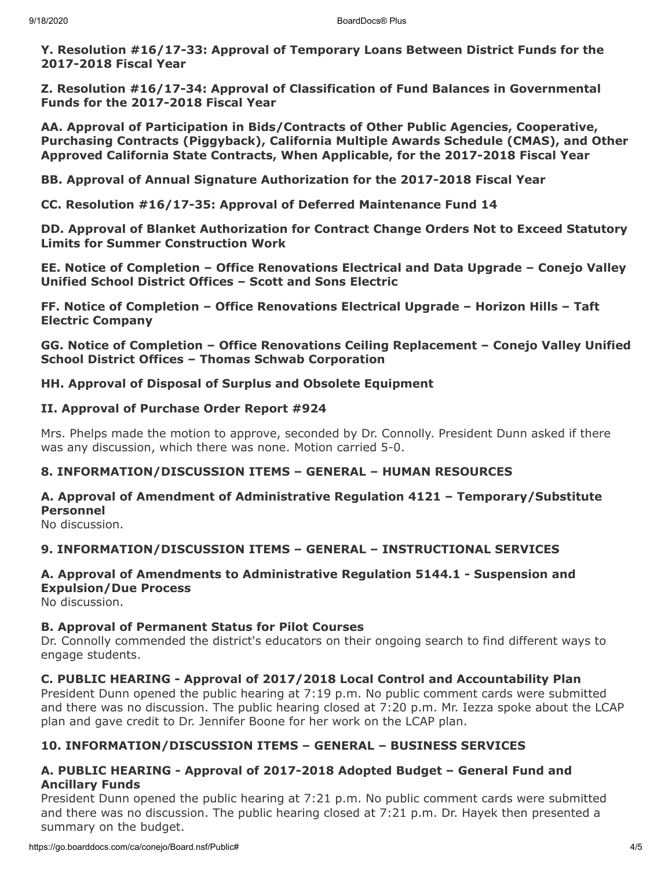**Y. Resolution #16/17-33: Approval of Temporary Loans Between District Funds for the 2017-2018 Fiscal Year**

**Z. Resolution #16/17-34: Approval of Classification of Fund Balances in Governmental Funds for the 2017-2018 Fiscal Year**

**AA. Approval of Participation in Bids/Contracts of Other Public Agencies, Cooperative, Purchasing Contracts (Piggyback), California Multiple Awards Schedule (CMAS), and Other Approved California State Contracts, When Applicable, for the 2017-2018 Fiscal Year**

**BB. Approval of Annual Signature Authorization for the 2017-2018 Fiscal Year**

**CC. Resolution #16/17-35: Approval of Deferred Maintenance Fund 14**

**DD. Approval of Blanket Authorization for Contract Change Orders Not to Exceed Statutory Limits for Summer Construction Work**

**EE. Notice of Completion – Office Renovations Electrical and Data Upgrade – Conejo Valley Unified School District Offices – Scott and Sons Electric**

**FF. Notice of Completion – Office Renovations Electrical Upgrade – Horizon Hills – Taft Electric Company**

**GG. Notice of Completion – Office Renovations Ceiling Replacement – Conejo Valley Unified School District Offices – Thomas Schwab Corporation**

**HH. Approval of Disposal of Surplus and Obsolete Equipment**

#### **II. Approval of Purchase Order Report #924**

Mrs. Phelps made the motion to approve, seconded by Dr. Connolly. President Dunn asked if there was any discussion, which there was none. Motion carried 5-0.

## **8. INFORMATION/DISCUSSION ITEMS – GENERAL – HUMAN RESOURCES**

# **A. Approval of Amendment of Administrative Regulation 4121 – Temporary/Substitute Personnel**

No discussion.

## **9. INFORMATION/DISCUSSION ITEMS – GENERAL – INSTRUCTIONAL SERVICES**

# **A. Approval of Amendments to Administrative Regulation 5144.1 - Suspension and Expulsion/Due Process**

No discussion.

## **B. Approval of Permanent Status for Pilot Courses**

Dr. Connolly commended the district's educators on their ongoing search to find different ways to engage students.

## **C. PUBLIC HEARING - Approval of 2017/2018 Local Control and Accountability Plan**

President Dunn opened the public hearing at 7:19 p.m. No public comment cards were submitted and there was no discussion. The public hearing closed at 7:20 p.m. Mr. Iezza spoke about the LCAP plan and gave credit to Dr. Jennifer Boone for her work on the LCAP plan.

## **10. INFORMATION/DISCUSSION ITEMS – GENERAL – BUSINESS SERVICES**

## **A. PUBLIC HEARING - Approval of 2017-2018 Adopted Budget – General Fund and Ancillary Funds**

President Dunn opened the public hearing at 7:21 p.m. No public comment cards were submitted and there was no discussion. The public hearing closed at 7:21 p.m. Dr. Hayek then presented a summary on the budget.